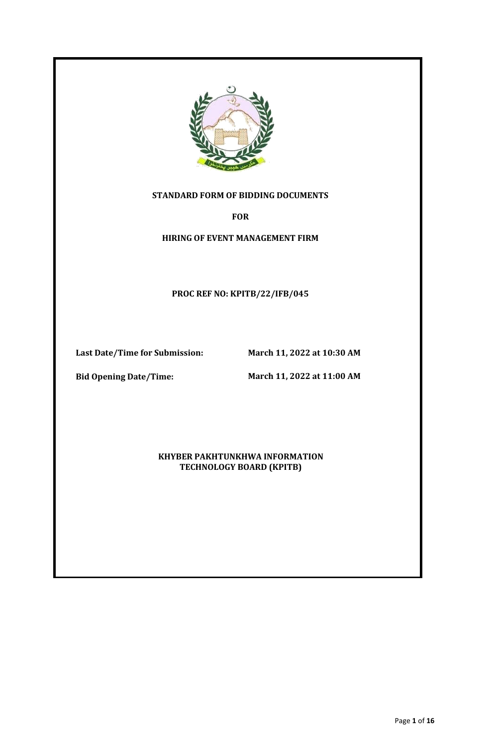

## **STANDARD FORM OF BIDDING DOCUMENTS**

**FOR**

**HIRING OF EVENT MANAGEMENT FIRM**

**PROC REF NO: KPITB/22/IFB/045**

**Last Date/Time for Submission: March 11, 2022 at 10:30 AM** 

**Bid Opening Date/Time:**

**March 11, 2022 at 11:00 AM**

**KHYBER PAKHTUNKHWA INFORMATION TECHNOLOGY BOARD (KPITB)**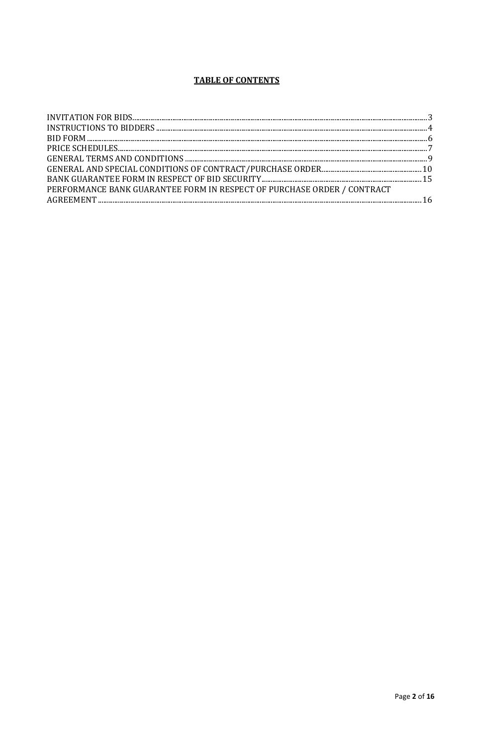## **TABLE OF CONTENTS**

| PERFORMANCE BANK GUARANTEE FORM IN RESPECT OF PURCHASE ORDER / CONTRACT |  |
|-------------------------------------------------------------------------|--|
|                                                                         |  |
|                                                                         |  |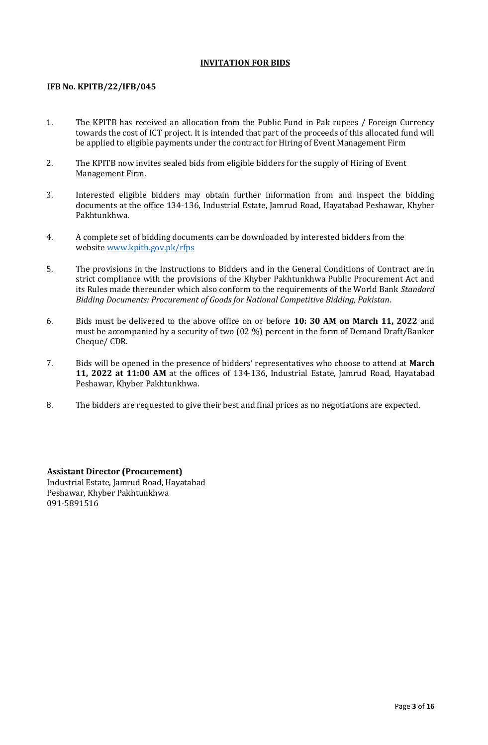## **INVITATION FOR BIDS**

## <span id="page-2-0"></span>**IFB No. KPITB/22/IFB/045**

- 1. The KPITB has received an allocation from the Public Fund in Pak rupees / Foreign Currency towards the cost of ICT project. It is intended that part of the proceeds of this allocated fund will be applied to eligible payments under the contract for Hiring of Event Management Firm
- 2. The KPITB now invites sealed bids from eligible bidders for the supply of Hiring of Event Management Firm.
- 3. Interested eligible bidders may obtain further information from and inspect the bidding documents at the office 134-136, Industrial Estate, Jamrud Road, Hayatabad Peshawar, Khyber Pakhtunkhwa.
- 4. A complete set of bidding documents can be downloaded by interested bidders from the website [www.kpitb.gov.pk/rfps](http://www.kpitb.gov.pk/rfps)
- 5. The provisions in the Instructions to Bidders and in the General Conditions of Contract are in strict compliance with the provisions of the Khyber Pakhtunkhwa Public Procurement Act and its Rules made thereunder which also conform to the requirements of the World Bank *Standard Bidding Documents: Procurement of Goods for National Competitive Bidding, Pakistan*.
- 6. Bids must be delivered to the above office on or before **10: 30 AM on March 11, 2022** and must be accompanied by a security of two (02 %) percent in the form of Demand Draft/Banker Cheque/ CDR.
- 7. Bids will be opened in the presence of bidders' representatives who choose to attend at **March 11, 2022 at 11:00 AM** at the offices of 134-136, Industrial Estate, Jamrud Road, Hayatabad Peshawar, Khyber Pakhtunkhwa.
- 8. The bidders are requested to give their best and final prices as no negotiations are expected.

**Assistant Director (Procurement)** Industrial Estate, Jamrud Road, Hayatabad Peshawar, Khyber Pakhtunkhwa 091-5891516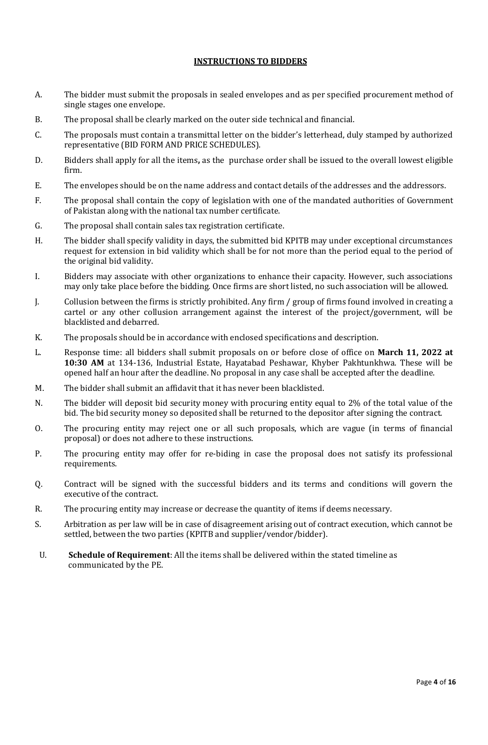#### **INSTRUCTIONS TO BIDDERS**

- <span id="page-3-0"></span>A. The bidder must submit the proposals in sealed envelopes and as per specified procurement method of single stages one envelope.
- B. The proposal shall be clearly marked on the outer side technical and financial.
- C. The proposals must contain a transmittal letter on the bidder's letterhead, duly stamped by authorized representative (BID FORM AND PRICE SCHEDULES).
- D. Bidders shall apply for all the items**,** as the purchase order shall be issued to the overall lowest eligible firm.
- E. The envelopes should be on the name address and contact details of the addresses and the addressors.
- F. The proposal shall contain the copy of legislation with one of the mandated authorities of Government of Pakistan along with the national tax number certificate.
- G. The proposal shall contain sales tax registration certificate.
- H. The bidder shall specify validity in days, the submitted bid KPITB may under exceptional circumstances request for extension in bid validity which shall be for not more than the period equal to the period of the original bid validity.
- I. Bidders may associate with other organizations to enhance their capacity. However, such associations may only take place before the bidding. Once firms are short listed, no such association will be allowed.
- J. Collusion between the firms is strictly prohibited. Any firm / group of firms found involved in creating a cartel or any other collusion arrangement against the interest of the project/government, will be blacklisted and debarred.
- K. The proposals should be in accordance with enclosed specifications and description.
- L. Response time: all bidders shall submit proposals on or before close of office on **March 11, 2022 at 10:30 AM** at 134-136, Industrial Estate, Hayatabad Peshawar, Khyber Pakhtunkhwa. These will be opened half an hour after the deadline. No proposal in any case shall be accepted after the deadline.
- M. The bidder shall submit an affidavit that it has never been blacklisted.
- N. The bidder will deposit bid security money with procuring entity equal to 2% of the total value of the bid. The bid security money so deposited shall be returned to the depositor after signing the contract.
- O. The procuring entity may reject one or all such proposals, which are vague (in terms of financial proposal) or does not adhere to these instructions.
- P. The procuring entity may offer for re-biding in case the proposal does not satisfy its professional requirements.
- Q. Contract will be signed with the successful bidders and its terms and conditions will govern the executive of the contract.
- R. The procuring entity may increase or decrease the quantity of items if deems necessary.
- S. Arbitration as per law will be in case of disagreement arising out of contract execution, which cannot be settled, between the two parties (KPITB and supplier/vendor/bidder).
- U. **Schedule of Requirement**: All the items shall be delivered within the stated timeline as communicated by the PE.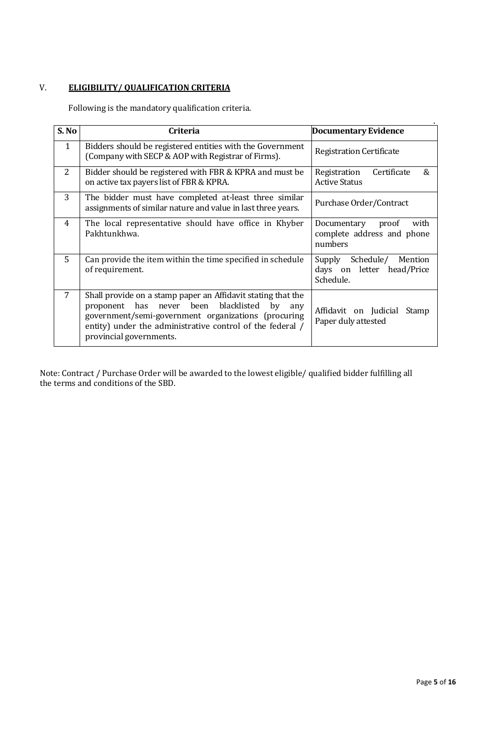# V. **ELIGIBILITY/ QUALIFICATION CRITERIA**

Following is the mandatory qualification criteria.

| S. No        | <b>Criteria</b>                                                                                                                                                                                                                                                        | Documentary Evidence                                                     |  |  |
|--------------|------------------------------------------------------------------------------------------------------------------------------------------------------------------------------------------------------------------------------------------------------------------------|--------------------------------------------------------------------------|--|--|
| $\mathbf{1}$ | Bidders should be registered entities with the Government<br>(Company with SECP & AOP with Registrar of Firms).                                                                                                                                                        | <b>Registration Certificate</b>                                          |  |  |
| 2            | Bidder should be registered with FBR & KPRA and must be<br>on active tax payers list of FBR & KPRA.                                                                                                                                                                    | $\mathcal{R}_{1}$<br>Certificate<br>Registration<br><b>Active Status</b> |  |  |
| 3            | The bidder must have completed at-least three similar<br>assignments of similar nature and value in last three years.                                                                                                                                                  | Purchase Order/Contract                                                  |  |  |
| 4            | The local representative should have office in Khyber<br>Pakhtunkhwa.                                                                                                                                                                                                  | Documentary<br>with<br>proof<br>complete address and phone<br>numbers    |  |  |
| 5            | Can provide the item within the time specified in schedule<br>of requirement.                                                                                                                                                                                          | Schedule/<br>Mention<br>Supply<br>days on letter head/Price<br>Schedule. |  |  |
| 7            | Shall provide on a stamp paper an Affidavit stating that the<br>never been blacklisted<br>has<br>by<br>proponent<br>any<br>government/semi-government organizations (procuring<br>entity) under the administrative control of the federal /<br>provincial governments. | Affidavit on Judicial Stamp<br>Paper duly attested                       |  |  |

<span id="page-4-0"></span>Note: Contract / Purchase Order will be awarded to the lowest eligible/ qualified bidder fulfilling all the terms and conditions of the SBD.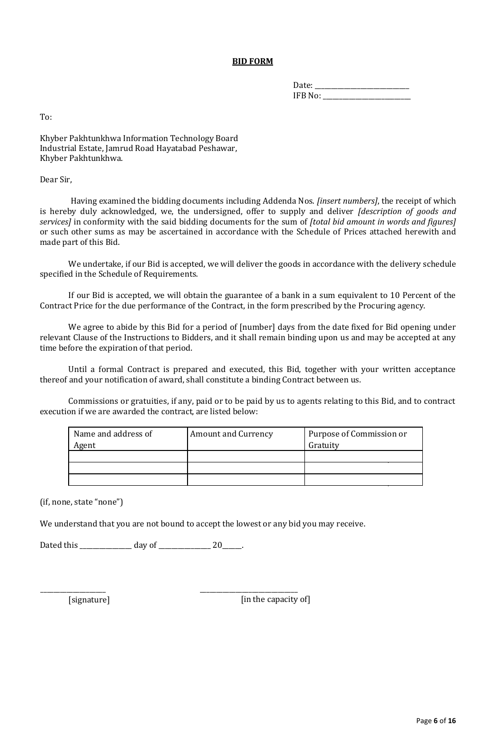#### **BID FORM**

Date: \_\_\_\_\_\_\_\_\_\_\_\_\_\_\_\_\_\_\_\_\_\_\_\_\_\_\_\_\_ IFB No: \_\_\_\_\_\_\_\_\_\_\_\_\_\_\_\_\_\_\_\_\_\_\_\_\_\_\_

To:

Khyber Pakhtunkhwa Information Technology Board Industrial Estate, Jamrud Road Hayatabad Peshawar, Khyber Pakhtunkhwa.

Dear Sir,

Having examined the bidding documents including Addenda Nos. *[insert numbers]*, the receipt of which is hereby duly acknowledged, we, the undersigned, offer to supply and deliver *[description of goods and services]* in conformity with the said bidding documents for the sum of *[total bid amount in words and figures]*  or such other sums as may be ascertained in accordance with the Schedule of Prices attached herewith and made part of this Bid.

We undertake, if our Bid is accepted, we will deliver the goods in accordance with the delivery schedule specified in the Schedule of Requirements.

If our Bid is accepted, we will obtain the guarantee of a bank in a sum equivalent to 10 Percent of the Contract Price for the due performance of the Contract, in the form prescribed by the Procuring agency.

We agree to abide by this Bid for a period of [number] days from the date fixed for Bid opening under relevant Clause of the Instructions to Bidders, and it shall remain binding upon us and may be accepted at any time before the expiration of that period.

Until a formal Contract is prepared and executed, this Bid, together with your written acceptance thereof and your notification of award, shall constitute a binding Contract between us.

Commissions or gratuities, if any, paid or to be paid by us to agents relating to this Bid, and to contract execution if we are awarded the contract, are listed below:

| Name and address of<br>Agent | <b>Amount and Currency</b> | Purpose of Commission or<br>Gratuity |
|------------------------------|----------------------------|--------------------------------------|
|                              |                            |                                      |
|                              |                            |                                      |
|                              |                            |                                      |

(if, none, state "none")

We understand that you are not bound to accept the lowest or any bid you may receive.

Dated this \_\_\_\_\_\_\_\_\_\_\_\_\_\_\_\_ day of \_\_\_\_\_\_\_\_\_\_\_\_\_\_\_\_\_\_\_ 20\_\_\_\_\_\_.

[signature]

\_\_\_\_\_\_\_\_\_\_\_\_\_\_\_\_\_\_\_\_

[in the capacity of]

\_\_\_\_\_\_\_\_\_\_\_\_\_\_\_\_\_\_\_\_\_\_\_\_\_\_\_\_\_\_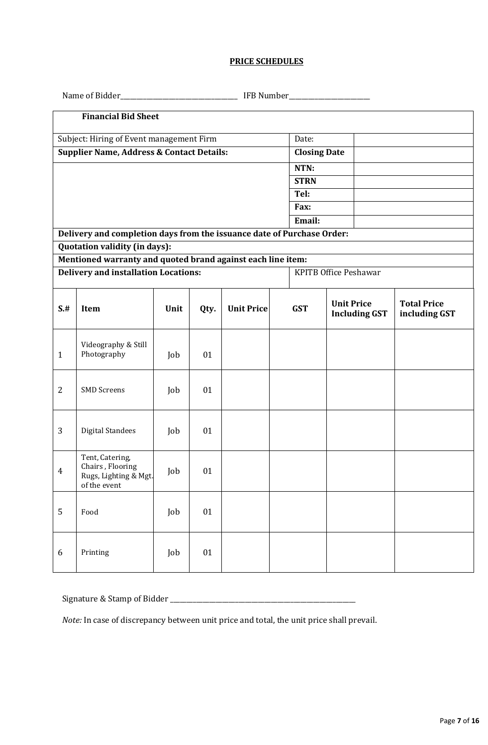## **PRICE SCHEDULES**

<span id="page-6-0"></span>

| <b>Financial Bid Sheet</b> |                                                                              |      |      |                   |  |                                                         |  |  |                                     |
|----------------------------|------------------------------------------------------------------------------|------|------|-------------------|--|---------------------------------------------------------|--|--|-------------------------------------|
|                            | Subject: Hiring of Event management Firm                                     |      |      | Date:             |  |                                                         |  |  |                                     |
|                            | <b>Supplier Name, Address &amp; Contact Details:</b>                         |      |      |                   |  | <b>Closing Date</b>                                     |  |  |                                     |
|                            |                                                                              |      |      |                   |  | NTN:                                                    |  |  |                                     |
|                            |                                                                              |      |      |                   |  | <b>STRN</b><br>Tel:                                     |  |  |                                     |
|                            |                                                                              |      |      |                   |  | Fax:                                                    |  |  |                                     |
|                            |                                                                              |      |      |                   |  | Email:                                                  |  |  |                                     |
|                            | Delivery and completion days from the issuance date of Purchase Order:       |      |      |                   |  |                                                         |  |  |                                     |
|                            | Quotation validity (in days):                                                |      |      |                   |  |                                                         |  |  |                                     |
|                            | Mentioned warranty and quoted brand against each line item:                  |      |      |                   |  |                                                         |  |  |                                     |
|                            | <b>Delivery and installation Locations:</b>                                  |      |      |                   |  | <b>KPITB Office Peshawar</b>                            |  |  |                                     |
| S.#                        | Item                                                                         | Unit | Qty. | <b>Unit Price</b> |  | <b>Unit Price</b><br><b>GST</b><br><b>Including GST</b> |  |  | <b>Total Price</b><br>including GST |
| $\mathbf{1}$               | Videography & Still<br>Photography                                           | Job  | 01   |                   |  |                                                         |  |  |                                     |
| $\overline{2}$             | <b>SMD</b> Screens                                                           | Job  | 01   |                   |  |                                                         |  |  |                                     |
| 3                          | <b>Digital Standees</b>                                                      | Job  | 01   |                   |  |                                                         |  |  |                                     |
| $\overline{4}$             | Tent, Catering,<br>Chairs, Flooring<br>Rugs, Lighting & Mgt.<br>of the event | Job  | 01   |                   |  |                                                         |  |  |                                     |
| 5                          | Food                                                                         | Job  | 01   |                   |  |                                                         |  |  |                                     |
| 6                          | Printing                                                                     | Job  | 01   |                   |  |                                                         |  |  |                                     |

Signature & Stamp of Bidder \_\_\_\_\_\_\_\_\_\_\_\_\_\_\_\_\_\_\_\_\_\_\_\_\_\_\_\_\_\_\_\_\_\_\_\_\_\_\_\_\_\_\_\_\_\_\_\_\_\_\_\_\_\_\_\_\_

*Note:* In case of discrepancy between unit price and total, the unit price shall prevail.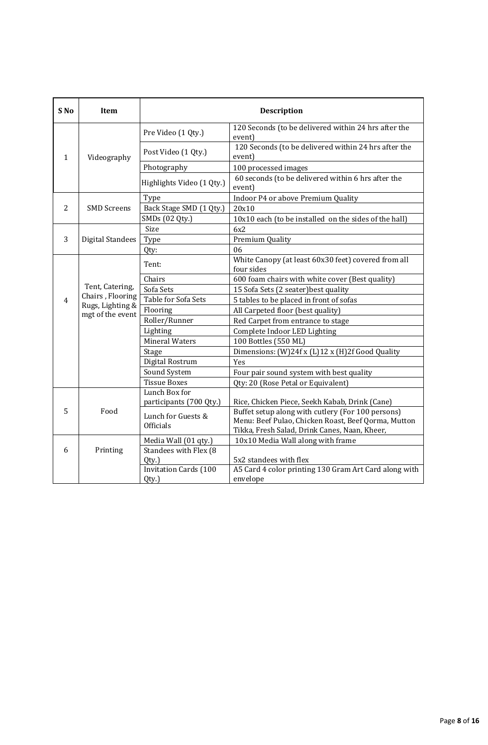| S No | Item                                                                        | <b>Description</b>                    |                                                                                                                                                           |  |  |
|------|-----------------------------------------------------------------------------|---------------------------------------|-----------------------------------------------------------------------------------------------------------------------------------------------------------|--|--|
|      |                                                                             | Pre Video (1 Qty.)                    | 120 Seconds (to be delivered within 24 hrs after the<br>event)                                                                                            |  |  |
| 1    | Videography                                                                 | Post Video (1 Qty.)                   | 120 Seconds (to be delivered within 24 hrs after the<br>event)                                                                                            |  |  |
|      |                                                                             | Photography                           | 100 processed images                                                                                                                                      |  |  |
|      |                                                                             | Highlights Video (1 Qty.)             | 60 seconds (to be delivered within 6 hrs after the<br>event)                                                                                              |  |  |
|      |                                                                             | Type                                  | Indoor P4 or above Premium Quality                                                                                                                        |  |  |
| 2    | <b>SMD Screens</b>                                                          | Back Stage SMD (1 Qty.)               | 20x10                                                                                                                                                     |  |  |
|      |                                                                             | SMDs (02 Qty.)                        | 10x10 each (to be installed on the sides of the hall)                                                                                                     |  |  |
|      |                                                                             | Size                                  | 6x2                                                                                                                                                       |  |  |
| 3    | <b>Digital Standees</b>                                                     | Type                                  | Premium Quality                                                                                                                                           |  |  |
|      |                                                                             | Qty:                                  | 06                                                                                                                                                        |  |  |
|      | Tent, Catering,<br>Chairs, Flooring<br>Rugs, Lighting &<br>mgt of the event | Tent:                                 | White Canopy (at least 60x30 feet) covered from all<br>four sides                                                                                         |  |  |
|      |                                                                             | Chairs                                | 600 foam chairs with white cover (Best quality)                                                                                                           |  |  |
|      |                                                                             | Sofa Sets                             | 15 Sofa Sets (2 seater) best quality                                                                                                                      |  |  |
| 4    |                                                                             | Table for Sofa Sets                   | 5 tables to be placed in front of sofas                                                                                                                   |  |  |
|      |                                                                             | Flooring                              | All Carpeted floor (best quality)                                                                                                                         |  |  |
|      |                                                                             | Roller/Runner                         | Red Carpet from entrance to stage                                                                                                                         |  |  |
|      |                                                                             | Lighting                              | Complete Indoor LED Lighting                                                                                                                              |  |  |
|      |                                                                             | <b>Mineral Waters</b>                 | 100 Bottles (550 ML)                                                                                                                                      |  |  |
|      |                                                                             | Stage                                 | Dimensions: (W)24f x (L)12 x (H)2f Good Quality                                                                                                           |  |  |
|      |                                                                             | Digital Rostrum                       | Yes                                                                                                                                                       |  |  |
|      |                                                                             | Sound System                          | Four pair sound system with best quality                                                                                                                  |  |  |
|      |                                                                             | <b>Tissue Boxes</b>                   | Qty: 20 (Rose Petal or Equivalent)                                                                                                                        |  |  |
|      |                                                                             | Lunch Box for                         |                                                                                                                                                           |  |  |
|      |                                                                             | participants (700 Qty.)               | Rice, Chicken Piece, Seekh Kabab, Drink (Cane)                                                                                                            |  |  |
| 5    | Food                                                                        | Lunch for Guests &<br>Officials       | Buffet setup along with cutlery (For 100 persons)<br>Menu: Beef Pulao, Chicken Roast, Beef Qorma, Mutton<br>Tikka, Fresh Salad, Drink Canes, Naan, Kheer, |  |  |
|      |                                                                             | Media Wall (01 qty.)                  | 10x10 Media Wall along with frame                                                                                                                         |  |  |
| 6    | Printing                                                                    | Standees with Flex (8                 |                                                                                                                                                           |  |  |
|      |                                                                             | Qty.)                                 | 5x2 standees with flex                                                                                                                                    |  |  |
|      |                                                                             | <b>Invitation Cards (100</b><br>Qty.) | A5 Card 4 color printing 130 Gram Art Card along with<br>envelope                                                                                         |  |  |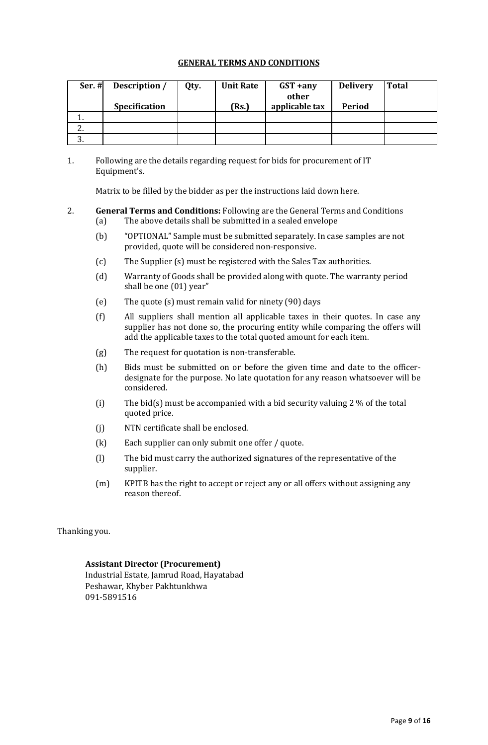## **GENERAL TERMS AND CONDITIONS**

<span id="page-8-0"></span>

| Ser. #   | Description /        | Qty. | <b>Unit Rate</b> | $GST + any$    | <b>Delivery</b> | <b>Total</b> |
|----------|----------------------|------|------------------|----------------|-----------------|--------------|
|          |                      |      |                  | other          |                 |              |
|          | <b>Specification</b> |      | (Rs.)            | applicable tax | <b>Period</b>   |              |
|          |                      |      |                  |                |                 |              |
| <u>.</u> |                      |      |                  |                |                 |              |
| ົ        |                      |      |                  |                |                 |              |

1. Following are the details regarding request for bids for procurement of IT Equipment's.

Matrix to be filled by the bidder as per the instructions laid down here.

## 2. **General Terms and Conditions:** Following are the General Terms and Conditions

- (a) The above details shall be submitted in a sealed envelope
- (b) "OPTIONAL" Sample must be submitted separately. In case samples are not provided, quote will be considered non-responsive.
- (c) The Supplier (s) must be registered with the Sales Tax authorities.
- (d) Warranty of Goods shall be provided along with quote. The warranty period shall be one (01) year"
- (e) The quote (s) must remain valid for ninety (90) days
- (f) All suppliers shall mention all applicable taxes in their quotes. In case any supplier has not done so, the procuring entity while comparing the offers will add the applicable taxes to the total quoted amount for each item.
- (g) The request for quotation is non-transferable.
- (h) Bids must be submitted on or before the given time and date to the officerdesignate for the purpose. No late quotation for any reason whatsoever will be considered.
- (i) The bid(s) must be accompanied with a bid security valuing 2 % of the total quoted price.
- (j) NTN certificate shall be enclosed.
- (k) Each supplier can only submit one offer / quote.
- (l) The bid must carry the authorized signatures of the representative of the supplier.
- (m) KPITB has the right to accept or reject any or all offers without assigning any reason thereof.

Thanking you.

## **Assistant Director (Procurement)**

<span id="page-8-1"></span>Industrial Estate, Jamrud Road, Hayatabad Peshawar, Khyber Pakhtunkhwa 091-5891516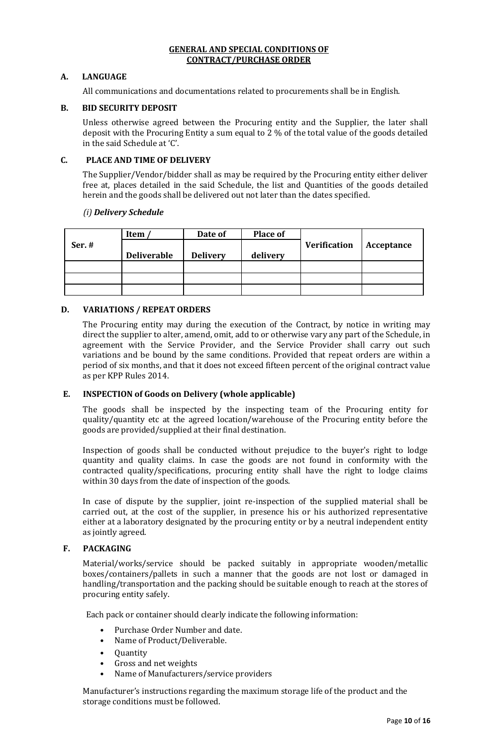#### **GENERAL AND SPECIAL CONDITIONS OF CONTRACT/PURCHASE ORDER**

## **A. LANGUAGE**

All communications and documentations related to procurements shall be in English.

## **B. BID SECURITY DEPOSIT**

Unless otherwise agreed between the Procuring entity and the Supplier, the later shall deposit with the Procuring Entity a sum equal to 2 % of the total value of the goods detailed in the said Schedule at 'C'.

## **C. PLACE AND TIME OF DELIVERY**

The Supplier/Vendor/bidder shall as may be required by the Procuring entity either deliver free at, places detailed in the said Schedule, the list and Quantities of the goods detailed herein and the goods shall be delivered out not later than the dates specified.

#### *(i) Delivery Schedule*

|        | Item               | Date of         | <b>Place of</b> |                     |            |
|--------|--------------------|-----------------|-----------------|---------------------|------------|
| Ser. # | <b>Deliverable</b> | <b>Delivery</b> | delivery        | <b>Verification</b> | Acceptance |
|        |                    |                 |                 |                     |            |
|        |                    |                 |                 |                     |            |
|        |                    |                 |                 |                     |            |
|        |                    |                 |                 |                     |            |

## **D. VARIATIONS / REPEAT ORDERS**

The Procuring entity may during the execution of the Contract, by notice in writing may direct the supplier to alter, amend, omit, add to or otherwise vary any part of the Schedule, in agreement with the Service Provider, and the Service Provider shall carry out such variations and be bound by the same conditions. Provided that repeat orders are within a period of six months, and that it does not exceed fifteen percent of the original contract value as per KPP Rules 2014.

#### **E. INSPECTION of Goods on Delivery (whole applicable)**

The goods shall be inspected by the inspecting team of the Procuring entity for quality/quantity etc at the agreed location/warehouse of the Procuring entity before the goods are provided/supplied at their final destination.

Inspection of goods shall be conducted without prejudice to the buyer's right to lodge quantity and quality claims. In case the goods are not found in conformity with the contracted quality/specifications, procuring entity shall have the right to lodge claims within 30 days from the date of inspection of the goods.

In case of dispute by the supplier, joint re-inspection of the supplied material shall be carried out, at the cost of the supplier, in presence his or his authorized representative either at a laboratory designated by the procuring entity or by a neutral independent entity as jointly agreed.

#### **F. PACKAGING**

Material/works/service should be packed suitably in appropriate wooden/metallic boxes/containers/pallets in such a manner that the goods are not lost or damaged in handling/transportation and the packing should be suitable enough to reach at the stores of procuring entity safely.

Each pack or container should clearly indicate the following information:

- Purchase Order Number and date.
- Name of Product/Deliverable.
- Quantity
- Gross and net weights
- Name of Manufacturers/service providers

Manufacturer's instructions regarding the maximum storage life of the product and the storage conditions must be followed.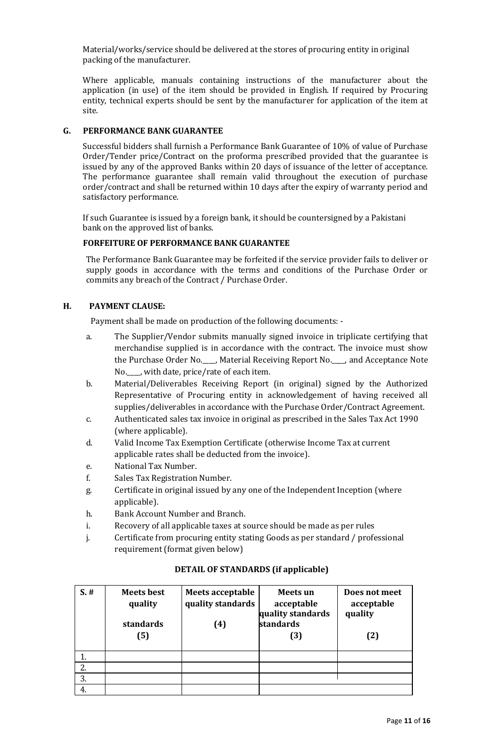Material/works/service should be delivered at the stores of procuring entity in original packing of the manufacturer.

Where applicable, manuals containing instructions of the manufacturer about the application (in use) of the item should be provided in English. If required by Procuring entity, technical experts should be sent by the manufacturer for application of the item at site.

## **G. PERFORMANCE BANK GUARANTEE**

Successful bidders shall furnish a Performance Bank Guarantee of 10% of value of Purchase Order/Tender price/Contract on the proforma prescribed provided that the guarantee is issued by any of the approved Banks within 20 days of issuance of the letter of acceptance. The performance guarantee shall remain valid throughout the execution of purchase order/contract and shall be returned within 10 days after the expiry of warranty period and satisfactory performance.

If such Guarantee is issued by a foreign bank, it should be countersigned by a Pakistani bank on the approved list of banks.

## **FORFEITURE OF PERFORMANCE BANK GUARANTEE**

The Performance Bank Guarantee may be forfeited if the service provider fails to deliver or supply goods in accordance with the terms and conditions of the Purchase Order or commits any breach of the Contract / Purchase Order.

## **H. PAYMENT CLAUSE:**

Payment shall be made on production of the following documents: -

- a. The Supplier/Vendor submits manually signed invoice in triplicate certifying that merchandise supplied is in accordance with the contract. The invoice must show the Purchase Order No.\_\_\_\_, Material Receiving Report No.\_\_\_\_, and Acceptance Note No.\_\_\_\_, with date, price/rate of each item.
- b. Material/Deliverables Receiving Report (in original) signed by the Authorized Representative of Procuring entity in acknowledgement of having received all supplies/deliverables in accordance with the Purchase Order/Contract Agreement.
- c. Authenticated sales tax invoice in original as prescribed in the Sales Tax Act 1990 (where applicable).
- d. Valid Income Tax Exemption Certificate (otherwise Income Tax at current applicable rates shall be deducted from the invoice).
- e. National Tax Number.
- f. Sales Tax Registration Number.
- g. Certificate in original issued by any one of the Independent Inception (where applicable).
- h. Bank Account Number and Branch.
- i. Recovery of all applicable taxes at source should be made as per rules
- j. Certificate from procuring entity stating Goods as per standard / professional requirement (format given below)

| $S.$ # | <b>Meets best</b><br>quality<br>standards<br>(5) | <b>Meets acceptable</b><br>quality standards<br>(4) | Meets un<br>acceptable<br>quality standards<br>standards<br>(3) | Does not meet<br>acceptable<br>quality<br>(2) |
|--------|--------------------------------------------------|-----------------------------------------------------|-----------------------------------------------------------------|-----------------------------------------------|
|        |                                                  |                                                     |                                                                 |                                               |
| 2.     |                                                  |                                                     |                                                                 |                                               |
| 3.     |                                                  |                                                     |                                                                 |                                               |
| 4.     |                                                  |                                                     |                                                                 |                                               |

#### **DETAIL OF STANDARDS (if applicable)**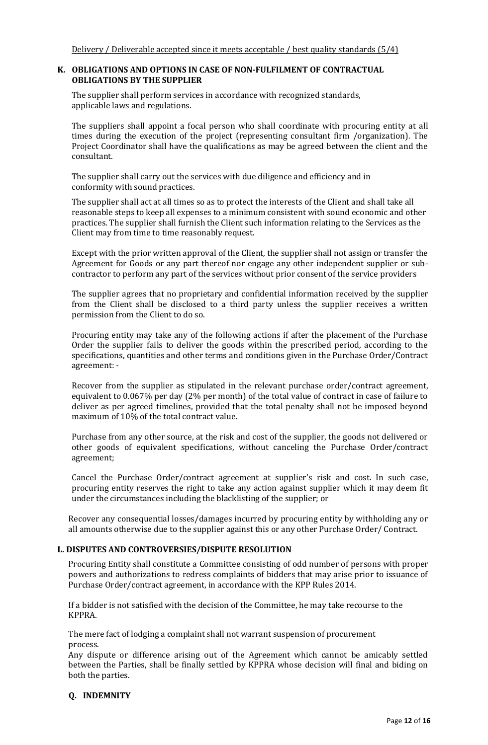#### **K. OBLIGATIONS AND OPTIONS IN CASE OF NON-FULFILMENT OF CONTRACTUAL OBLIGATIONS BY THE SUPPLIER**

The supplier shall perform services in accordance with recognized standards, applicable laws and regulations.

The suppliers shall appoint a focal person who shall coordinate with procuring entity at all times during the execution of the project (representing consultant firm /organization). The Project Coordinator shall have the qualifications as may be agreed between the client and the consultant.

The supplier shall carry out the services with due diligence and efficiency and in conformity with sound practices.

The supplier shall act at all times so as to protect the interests of the Client and shall take all reasonable steps to keep all expenses to a minimum consistent with sound economic and other practices. The supplier shall furnish the Client such information relating to the Services as the Client may from time to time reasonably request.

Except with the prior written approval of the Client, the supplier shall not assign or transfer the Agreement for Goods or any part thereof nor engage any other independent supplier or subcontractor to perform any part of the services without prior consent of the service providers

The supplier agrees that no proprietary and confidential information received by the supplier from the Client shall be disclosed to a third party unless the supplier receives a written permission from the Client to do so.

Procuring entity may take any of the following actions if after the placement of the Purchase Order the supplier fails to deliver the goods within the prescribed period, according to the specifications, quantities and other terms and conditions given in the Purchase Order/Contract agreement: -

Recover from the supplier as stipulated in the relevant purchase order/contract agreement, equivalent to 0.067% per day (2% per month) of the total value of contract in case of failure to deliver as per agreed timelines, provided that the total penalty shall not be imposed beyond maximum of 10% of the total contract value.

Purchase from any other source, at the risk and cost of the supplier, the goods not delivered or other goods of equivalent specifications, without canceling the Purchase Order/contract agreement;

Cancel the Purchase Order/contract agreement at supplier's risk and cost. In such case, procuring entity reserves the right to take any action against supplier which it may deem fit under the circumstances including the blacklisting of the supplier; or

Recover any consequential losses/damages incurred by procuring entity by withholding any or all amounts otherwise due to the supplier against this or any other Purchase Order/ Contract.

#### **L. DISPUTES AND CONTROVERSIES/DISPUTE RESOLUTION**

Procuring Entity shall constitute a Committee consisting of odd number of persons with proper powers and authorizations to redress complaints of bidders that may arise prior to issuance of Purchase Order/contract agreement, in accordance with the KPP Rules 2014.

If a bidder is not satisfied with the decision of the Committee, he may take recourse to the KPPRA.

The mere fact of lodging a complaint shall not warrant suspension of procurement process.

Any dispute or difference arising out of the Agreement which cannot be amicably settled between the Parties, shall be finally settled by KPPRA whose decision will final and biding on both the parties.

#### **Q. INDEMNITY**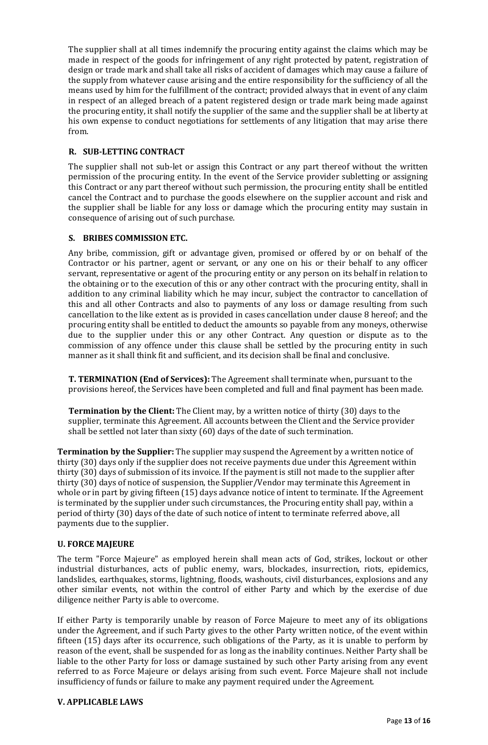The supplier shall at all times indemnify the procuring entity against the claims which may be made in respect of the goods for infringement of any right protected by patent, registration of design or trade mark and shall take all risks of accident of damages which may cause a failure of the supply from whatever cause arising and the entire responsibility for the sufficiency of all the means used by him for the fulfillment of the contract; provided always that in event of any claim in respect of an alleged breach of a patent registered design or trade mark being made against the procuring entity, it shall notify the supplier of the same and the supplier shall be at liberty at his own expense to conduct negotiations for settlements of any litigation that may arise there from.

## **R. SUB-LETTING CONTRACT**

The supplier shall not sub-let or assign this Contract or any part thereof without the written permission of the procuring entity. In the event of the Service provider subletting or assigning this Contract or any part thereof without such permission, the procuring entity shall be entitled cancel the Contract and to purchase the goods elsewhere on the supplier account and risk and the supplier shall be liable for any loss or damage which the procuring entity may sustain in consequence of arising out of such purchase.

## **S. BRIBES COMMISSION ETC.**

Any bribe, commission, gift or advantage given, promised or offered by or on behalf of the Contractor or his partner, agent or servant, or any one on his or their behalf to any officer servant, representative or agent of the procuring entity or any person on its behalf in relation to the obtaining or to the execution of this or any other contract with the procuring entity, shall in addition to any criminal liability which he may incur, subject the contractor to cancellation of this and all other Contracts and also to payments of any loss or damage resulting from such cancellation to the like extent as is provided in cases cancellation under clause 8 hereof; and the procuring entity shall be entitled to deduct the amounts so payable from any moneys, otherwise due to the supplier under this or any other Contract. Any question or dispute as to the commission of any offence under this clause shall be settled by the procuring entity in such manner as it shall think fit and sufficient, and its decision shall be final and conclusive.

**T. TERMINATION (End of Services):** The Agreement shall terminate when, pursuant to the provisions hereof, the Services have been completed and full and final payment has been made.

**Termination by the Client:** The Client may, by a written notice of thirty (30) days to the supplier, terminate this Agreement. All accounts between the Client and the Service provider shall be settled not later than sixty (60) days of the date of such termination.

**Termination by the Supplier:** The supplier may suspend the Agreement by a written notice of thirty (30) days only if the supplier does not receive payments due under this Agreement within thirty (30) days of submission of its invoice. If the payment is still not made to the supplier after thirty (30) days of notice of suspension, the Supplier/Vendor may terminate this Agreement in whole or in part by giving fifteen (15) days advance notice of intent to terminate. If the Agreement is terminated by the supplier under such circumstances, the Procuring entity shall pay, within a period of thirty (30) days of the date of such notice of intent to terminate referred above, all payments due to the supplier.

#### **U. FORCE MAJEURE**

The term "Force Majeure" as employed herein shall mean acts of God, strikes, lockout or other industrial disturbances, acts of public enemy, wars, blockades, insurrection, riots, epidemics, landslides, earthquakes, storms, lightning, floods, washouts, civil disturbances, explosions and any other similar events, not within the control of either Party and which by the exercise of due diligence neither Party is able to overcome.

If either Party is temporarily unable by reason of Force Majeure to meet any of its obligations under the Agreement, and if such Party gives to the other Party written notice, of the event within fifteen (15) days after its occurrence, such obligations of the Party, as it is unable to perform by reason of the event, shall be suspended for as long as the inability continues. Neither Party shall be liable to the other Party for loss or damage sustained by such other Party arising from any event referred to as Force Majeure or delays arising from such event. Force Majeure shall not include insufficiency of funds or failure to make any payment required under the Agreement.

#### **V. APPLICABLE LAWS**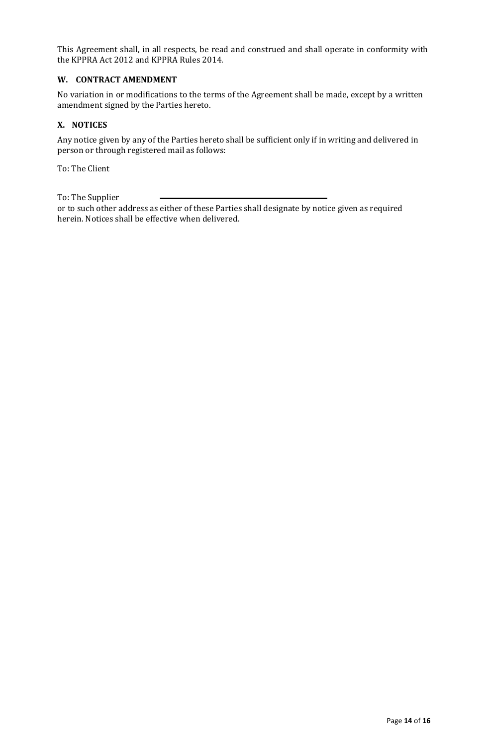This Agreement shall, in all respects, be read and construed and shall operate in conformity with the KPPRA Act 2012 and KPPRA Rules 2014.

## **W. CONTRACT AMENDMENT**

No variation in or modifications to the terms of the Agreement shall be made, except by a written amendment signed by the Parties hereto.

## **X. NOTICES**

Any notice given by any of the Parties hereto shall be sufficient only if in writing and delivered in person or through registered mail as follows:

To: The Client

To: The Supplier

or to such other address as either of these Parties shall designate by notice given as required herein. Notices shall be effective when delivered.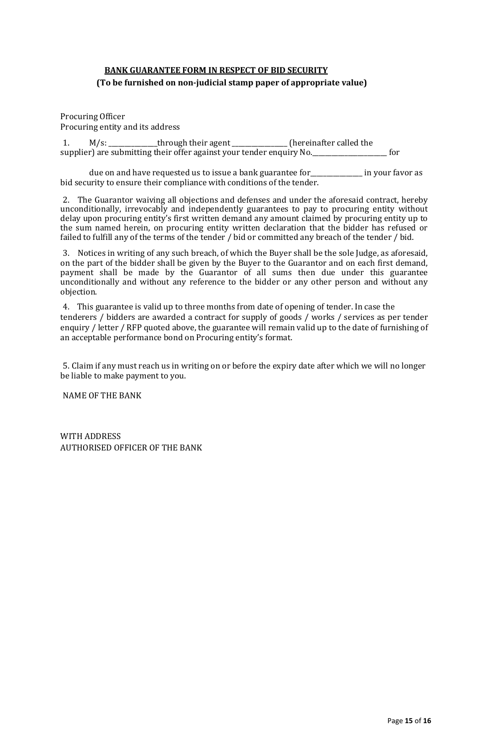# <span id="page-14-0"></span>**BANK GUARANTEE FORM IN RESPECT OF BID SECURITY (To be furnished on non-judicial stamp paper of appropriate value)**

Procuring Officer Procuring entity and its address

1. M/s: \_\_\_\_\_\_\_\_\_\_\_\_\_\_\_through their agent \_\_\_\_\_\_\_\_\_\_\_\_\_\_\_\_\_ (hereinafter called the supplier) are submitting their offer against your tender enquiry No.

due on and have requested us to issue a bank guarantee for \_\_\_\_\_\_\_\_\_\_\_\_\_\_ in your favor as bid security to ensure their compliance with conditions of the tender.

2. The Guarantor waiving all objections and defenses and under the aforesaid contract, hereby unconditionally, irrevocably and independently guarantees to pay to procuring entity without delay upon procuring entity's first written demand any amount claimed by procuring entity up to the sum named herein, on procuring entity written declaration that the bidder has refused or failed to fulfill any of the terms of the tender / bid or committed any breach of the tender / bid.

3. Notices in writing of any such breach, of which the Buyer shall be the sole Judge, as aforesaid, on the part of the bidder shall be given by the Buyer to the Guarantor and on each first demand, payment shall be made by the Guarantor of all sums then due under this guarantee unconditionally and without any reference to the bidder or any other person and without any objection.

4. This guarantee is valid up to three months from date of opening of tender. In case the tenderers / bidders are awarded a contract for supply of goods / works / services as per tender enquiry / letter / RFP quoted above, the guarantee will remain valid up to the date of furnishing of an acceptable performance bond on Procuring entity's format.

5. Claim if any must reach us in writing on or before the expiry date after which we will no longer be liable to make payment to you.

NAME OF THE BANK

WITH ADDRESS AUTHORISED OFFICER OF THE BANK